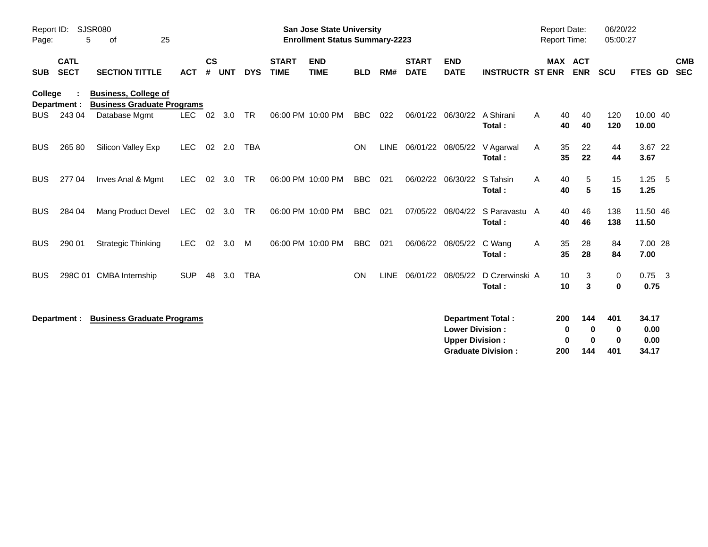| Report ID:<br>SJSR080<br>5<br>25<br>Page:<br>οf |                            |                                                                  |            | <b>San Jose State University</b><br><b>Enrollment Status Summary-2223</b> |            |            |                             |                           |            |             |                             |                                                  |                                                       |   | <b>Report Date:</b><br>Report Time: |                                              | 06/20/22<br>05:00:27           |                          |
|-------------------------------------------------|----------------------------|------------------------------------------------------------------|------------|---------------------------------------------------------------------------|------------|------------|-----------------------------|---------------------------|------------|-------------|-----------------------------|--------------------------------------------------|-------------------------------------------------------|---|-------------------------------------|----------------------------------------------|--------------------------------|--------------------------|
| <b>SUB</b>                                      | <b>CATL</b><br><b>SECT</b> | <b>SECTION TITTLE</b>                                            | <b>ACT</b> | $\mathsf{cs}$<br>#                                                        | <b>UNT</b> | <b>DYS</b> | <b>START</b><br><b>TIME</b> | <b>END</b><br><b>TIME</b> | <b>BLD</b> | RM#         | <b>START</b><br><b>DATE</b> | <b>END</b><br><b>DATE</b>                        | <b>INSTRUCTR ST ENR</b>                               |   | MAX ACT<br><b>ENR</b>               | <b>SCU</b>                                   | FTES GD                        | <b>CMB</b><br><b>SEC</b> |
| College                                         | Department :               | <b>Business, College of</b><br><b>Business Graduate Programs</b> |            |                                                                           |            |            |                             |                           |            |             |                             |                                                  |                                                       |   |                                     |                                              |                                |                          |
| <b>BUS</b>                                      | 243 04                     | Database Mgmt                                                    | <b>LEC</b> | 02                                                                        | 3.0        | <b>TR</b>  |                             | 06:00 PM 10:00 PM         | <b>BBC</b> | 022         | 06/01/22                    | 06/30/22                                         | A Shirani<br>Total:                                   | A | 40<br>40<br>40<br>40                | 120<br>120                                   | 10.00 40<br>10.00              |                          |
| <b>BUS</b>                                      | 265 80                     | Silicon Valley Exp                                               | <b>LEC</b> | 02                                                                        | 2.0        | <b>TBA</b> |                             |                           | ON         | <b>LINE</b> |                             | 06/01/22 08/05/22                                | V Agarwal<br>Total:                                   | A | 35<br>22<br>35<br>22                | 44<br>44                                     | 3.67 22<br>3.67                |                          |
| <b>BUS</b>                                      | 277 04                     | Inves Anal & Mgmt                                                | <b>LEC</b> | 02                                                                        | 3.0        | TR         |                             | 06:00 PM 10:00 PM         | <b>BBC</b> | 021         |                             | 06/02/22 06/30/22                                | S Tahsin<br>Total:                                    | A | 40<br>5<br>40<br>5                  | 15<br>15                                     | $1.25 - 5$<br>1.25             |                          |
| <b>BUS</b>                                      | 284 04                     | Mang Product Devel                                               | <b>LEC</b> | 02                                                                        | 3.0        | <b>TR</b>  |                             | 06:00 PM 10:00 PM         | <b>BBC</b> | 021         | 07/05/22                    | 08/04/22                                         | S Paravastu A<br>Total:                               |   | 46<br>40<br>40<br>46                | 138<br>138                                   | 11.50 46<br>11.50              |                          |
| <b>BUS</b>                                      | 290 01                     | <b>Strategic Thinking</b>                                        | <b>LEC</b> | 02                                                                        | 3.0        | M          |                             | 06:00 PM 10:00 PM         | <b>BBC</b> | 021         |                             | 06/06/22 08/05/22                                | C Wang<br>Total:                                      | A | 35<br>28<br>35<br>28                | 84<br>84                                     | 7.00 28<br>7.00                |                          |
| <b>BUS</b>                                      |                            | 298C 01 CMBA Internship                                          | <b>SUP</b> | 48                                                                        | 3.0        | <b>TBA</b> |                             |                           | <b>ON</b>  | <b>LINE</b> | 06/01/22 08/05/22           |                                                  | D Czerwinski A<br>Total:                              |   | 10<br>3<br>10<br>3                  | 0<br>0                                       | $0.75$ 3<br>0.75               |                          |
|                                                 | Department :               | <b>Business Graduate Programs</b>                                |            |                                                                           |            |            |                             |                           |            |             |                             | <b>Lower Division:</b><br><b>Upper Division:</b> | <b>Department Total:</b><br><b>Graduate Division:</b> |   | 200<br>144<br>0<br>0<br>200<br>144  | 401<br>0<br>0<br>$\bf{0}$<br>$\bf{0}$<br>401 | 34.17<br>0.00<br>0.00<br>34.17 |                          |